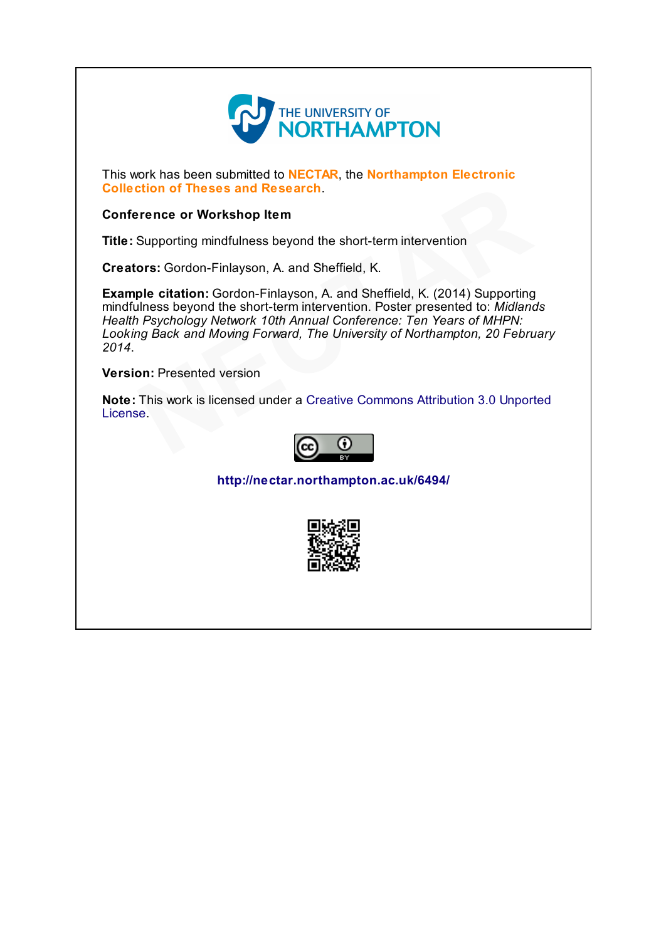

This work has been submitted to **NECTAR**, the **Northampton Electronic** Collection of Theses and Research.

#### Conference or Workshop Item

Title: Supporting mindfulness beyond the short-term intervention

Creators: Gordon-Finlayson, A. and Sheffield, K.

Example citation: Gordon-Finlayson, A. and Sheffield, K. (2014) Supporting mindfulness beyond the short-term intervention. Poster presented to: Midlands Health Psychology Network 10th Annual Conference: Ten Years of MHPN: Looking Back and Moving Forward, The University of Northampton, 20 February 2014. **eses and Research**.<br> **Norkshop Item**<br>
mindfulness beyond the short-term intervention<br>
n-Finlayson, A. and Sheffield, K. (2014) Supporting<br>
nd the short-term intervention. Poster presented to: *Midlandy Network 10th Annual* 

Version: Presented version

Note: This work is licensed under a Creative Commons Attribution 3.0 Unported **Version:** Presented v<br>**[N](http://creativecommons.org/licenses/by/3.0/)ote:** This work is lice<br>License.



<http://nectar.northampton.ac.uk/6494/>